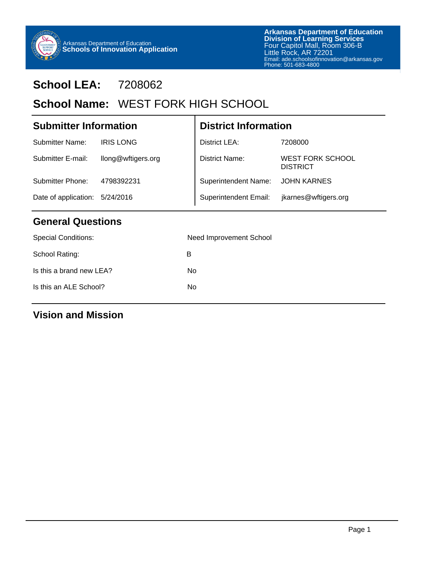

## **School LEA:** 7208062

## School Name: WEST FORK HIGH SCHOOL

| <b>Submitter Information</b>   |                    | <b>District Information</b> |                                            |  |  |
|--------------------------------|--------------------|-----------------------------|--------------------------------------------|--|--|
| Submitter Name:                | <b>IRIS LONG</b>   | District LEA:               | 7208000                                    |  |  |
| Submitter E-mail:              | llong@wftigers.org | <b>District Name:</b>       | <b>WEST FORK SCHOOL</b><br><b>DISTRICT</b> |  |  |
| Submitter Phone:               | 4798392231         | <b>Superintendent Name:</b> | <b>JOHN KARNES</b>                         |  |  |
| Date of application: 5/24/2016 |                    | Superintendent Email:       | jkarnes@wftigers.org                       |  |  |

Τ

#### **General Questions**

| <b>Special Conditions:</b> | Need Improvement School |
|----------------------------|-------------------------|
| School Rating:             | в                       |
| Is this a brand new LEA?   | No                      |
| Is this an ALE School?     | No                      |
|                            |                         |

#### **Vision and Mission**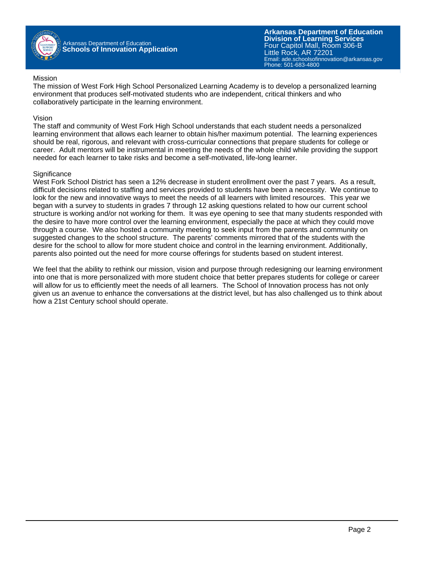

#### Mission

The mission of West Fork High School Personalized Learning Academy is to develop a personalized learning environment that produces self-motivated students who are independent, critical thinkers and who collaboratively participate in the learning environment.

#### Vision

The staff and community of West Fork High School understands that each student needs a personalized learning environment that allows each learner to obtain his/her maximum potential. The learning experiences should be real, rigorous, and relevant with cross-curricular connections that prepare students for college or career. Adult mentors will be instrumental in meeting the needs of the whole child while providing the support needed for each learner to take risks and become a self-motivated, life-long learner.

#### **Significance**

West Fork School District has seen a 12% decrease in student enrollment over the past 7 years. As a result, difficult decisions related to staffing and services provided to students have been a necessity. We continue to look for the new and innovative ways to meet the needs of all learners with limited resources. This year we began with a survey to students in grades 7 through 12 asking questions related to how our current school structure is working and/or not working for them. It was eye opening to see that many students responded with the desire to have more control over the learning environment, especially the pace at which they could move through a course. We also hosted a community meeting to seek input from the parents and community on suggested changes to the school structure. The parents' comments mirrored that of the students with the desire for the school to allow for more student choice and control in the learning environment. Additionally, parents also pointed out the need for more course offerings for students based on student interest.

We feel that the ability to rethink our mission, vision and purpose through redesigning our learning environment into one that is more personalized with more student choice that better prepares students for college or career will allow for us to efficiently meet the needs of all learners. The School of Innovation process has not only given us an avenue to enhance the conversations at the district level, but has also challenged us to think about how a 21st Century school should operate.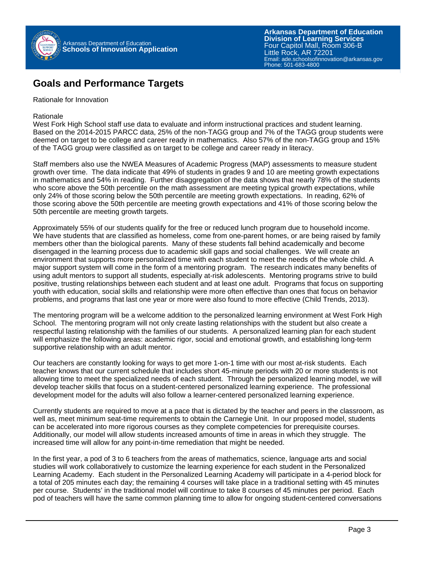

#### **Goals and Performance Targets**

Rationale for Innovation

Rationale

West Fork High School staff use data to evaluate and inform instructional practices and student learning. Based on the 2014-2015 PARCC data, 25% of the non-TAGG group and 7% of the TAGG group students were deemed on target to be college and career ready in mathematics. Also 57% of the non-TAGG group and 15% of the TAGG group were classified as on target to be college and career ready in literacy.

Staff members also use the NWEA Measures of Academic Progress (MAP) assessments to measure student growth over time. The data indicate that 49% of students in grades 9 and 10 are meeting growth expectations in mathematics and 54% in reading. Further disaggregation of the data shows that nearly 78% of the students who score above the 50th percentile on the math assessment are meeting typical growth expectations, while only 24% of those scoring below the 50th percentile are meeting growth expectations. In reading, 62% of those scoring above the 50th percentile are meeting growth expectations and 41% of those scoring below the 50th percentile are meeting growth targets.

Approximately 55% of our students qualify for the free or reduced lunch program due to household income. We have students that are classified as homeless, come from one-parent homes, or are being raised by family members other than the biological parents. Many of these students fall behind academically and become disengaged in the learning process due to academic skill gaps and social challenges. We will create an environment that supports more personalized time with each student to meet the needs of the whole child. A major support system will come in the form of a mentoring program. The research indicates many benefits of using adult mentors to support all students, especially at-risk adolescents. Mentoring programs strive to build positive, trusting relationships between each student and at least one adult. Programs that focus on supporting youth with education, social skills and relationship were more often effective than ones that focus on behavior problems, and programs that last one year or more were also found to more effective (Child Trends, 2013).

The mentoring program will be a welcome addition to the personalized learning environment at West Fork High School. The mentoring program will not only create lasting relationships with the student but also create a respectful lasting relationship with the families of our students. A personalized learning plan for each student will emphasize the following areas: academic rigor, social and emotional growth, and establishing long-term supportive relationship with an adult mentor.

Our teachers are constantly looking for ways to get more 1-on-1 time with our most at-risk students. Each teacher knows that our current schedule that includes short 45-minute periods with 20 or more students is not allowing time to meet the specialized needs of each student. Through the personalized learning model, we will develop teacher skills that focus on a student-centered personalized learning experience. The professional development model for the adults will also follow a learner-centered personalized learning experience.

Currently students are required to move at a pace that is dictated by the teacher and peers in the classroom, as well as, meet minimum seat-time requirements to obtain the Carnegie Unit. In our proposed model, students can be accelerated into more rigorous courses as they complete competencies for prerequisite courses. Additionally, our model will allow students increased amounts of time in areas in which they struggle. The increased time will allow for any point-in-time remediation that might be needed.

In the first year, a pod of 3 to 6 teachers from the areas of mathematics, science, language arts and social studies will work collaboratively to customize the learning experience for each student in the Personalized Learning Academy. Each student in the Personalized Learning Academy will participate in a 4-period block for a total of 205 minutes each day; the remaining 4 courses will take place in a traditional setting with 45 minutes per course. Students' in the traditional model will continue to take 8 courses of 45 minutes per period. Each pod of teachers will have the same common planning time to allow for ongoing student-centered conversations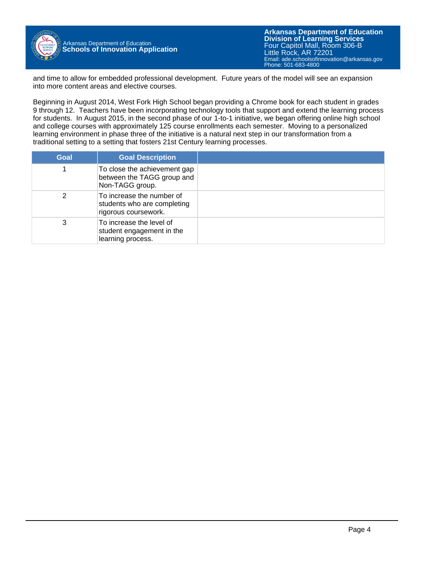

and time to allow for embedded professional development. Future years of the model will see an expansion into more content areas and elective courses.

Beginning in August 2014, West Fork High School began providing a Chrome book for each student in grades 9 through 12. Teachers have been incorporating technology tools that support and extend the learning process for students. In August 2015, in the second phase of our 1-to-1 initiative, we began offering online high school and college courses with approximately 125 course enrollments each semester. Moving to a personalized learning environment in phase three of the initiative is a natural next step in our transformation from a traditional setting to a setting that fosters 21st Century learning processes.

| Goal | <b>Goal Description</b>                                                          |  |
|------|----------------------------------------------------------------------------------|--|
|      | To close the achievement gap<br>between the TAGG group and<br>Non-TAGG group.    |  |
| 2    | To increase the number of<br>students who are completing<br>rigorous coursework. |  |
| 3    | To increase the level of<br>student engagement in the<br>learning process.       |  |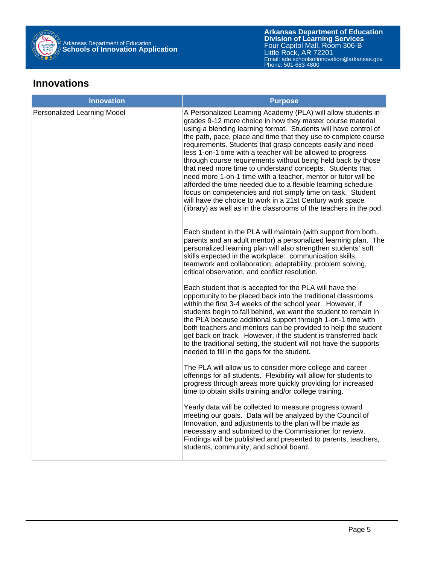

#### **Innovations**

| <b>Innovation</b>           | <b>Purpose</b>                                                                                                                                                                                                                                                                                                                                                                                                                                                                                                                                                                                                                                                                                                                                                                                                                                               |
|-----------------------------|--------------------------------------------------------------------------------------------------------------------------------------------------------------------------------------------------------------------------------------------------------------------------------------------------------------------------------------------------------------------------------------------------------------------------------------------------------------------------------------------------------------------------------------------------------------------------------------------------------------------------------------------------------------------------------------------------------------------------------------------------------------------------------------------------------------------------------------------------------------|
| Personalized Learning Model | A Personalized Learning Academy (PLA) will allow students in<br>grades 9-12 more choice in how they master course material<br>using a blending learning format. Students will have control of<br>the path, pace, place and time that they use to complete course<br>requirements. Students that grasp concepts easily and need<br>less 1-on-1 time with a teacher will be allowed to progress<br>through course requirements without being held back by those<br>that need more time to understand concepts. Students that<br>need more 1-on-1 time with a teacher, mentor or tutor will be<br>afforded the time needed due to a flexible learning schedule<br>focus on competencies and not simply time on task. Student<br>will have the choice to work in a 21st Century work space<br>(library) as well as in the classrooms of the teachers in the pod. |
|                             | Each student in the PLA will maintain (with support from both,<br>parents and an adult mentor) a personalized learning plan. The<br>personalized learning plan will also strengthen students' soft<br>skills expected in the workplace: communication skills,<br>teamwork and collaboration, adaptability, problem solving,<br>critical observation, and conflict resolution.                                                                                                                                                                                                                                                                                                                                                                                                                                                                                |
|                             | Each student that is accepted for the PLA will have the<br>opportunity to be placed back into the traditional classrooms<br>within the first 3-4 weeks of the school year. However, if<br>students begin to fall behind, we want the student to remain in<br>the PLA because additional support through 1-on-1 time with<br>both teachers and mentors can be provided to help the student<br>get back on track. However, if the student is transferred back<br>to the traditional setting, the student will not have the supports<br>needed to fill in the gaps for the student.                                                                                                                                                                                                                                                                             |
|                             | The PLA will allow us to consider more college and career<br>offerings for all students. Flexibility will allow for students to<br>progress through areas more quickly providing for increased<br>time to obtain skills training and/or college training.                                                                                                                                                                                                                                                                                                                                                                                                                                                                                                                                                                                                    |
|                             | Yearly data will be collected to measure progress toward<br>meeting our goals. Data will be analyzed by the Council of<br>Innovation, and adjustments to the plan will be made as<br>necessary and submitted to the Commissioner for review.<br>Findings will be published and presented to parents, teachers,<br>students, community, and school board.                                                                                                                                                                                                                                                                                                                                                                                                                                                                                                     |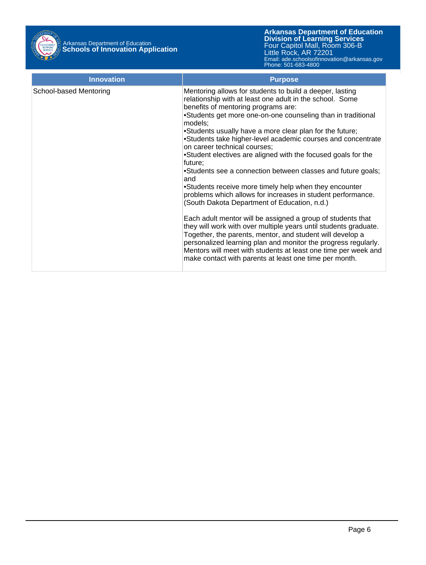

| <b>Innovation</b>      | <b>Purpose</b>                                                                                                                                                                                                                                                                                                                                                                                                                                                                                                                                                                                                                                                                                                                                                                                                                                                                                                                                                                                                                                                                                                               |
|------------------------|------------------------------------------------------------------------------------------------------------------------------------------------------------------------------------------------------------------------------------------------------------------------------------------------------------------------------------------------------------------------------------------------------------------------------------------------------------------------------------------------------------------------------------------------------------------------------------------------------------------------------------------------------------------------------------------------------------------------------------------------------------------------------------------------------------------------------------------------------------------------------------------------------------------------------------------------------------------------------------------------------------------------------------------------------------------------------------------------------------------------------|
| School-based Mentoring | Mentoring allows for students to build a deeper, lasting<br>relationship with at least one adult in the school. Some<br>benefits of mentoring programs are:<br>•Students get more one-on-one counseling than in traditional<br>models:<br>•Students usually have a more clear plan for the future;<br>•Students take higher-level academic courses and concentrate<br>on career technical courses;<br>•Student electives are aligned with the focused goals for the<br>future;<br>•Students see a connection between classes and future goals;<br>and<br>•Students receive more timely help when they encounter<br>problems which allows for increases in student performance.<br>(South Dakota Department of Education, n.d.)<br>Each adult mentor will be assigned a group of students that<br>they will work with over multiple years until students graduate.<br>Together, the parents, mentor, and student will develop a<br>personalized learning plan and monitor the progress regularly.<br>Mentors will meet with students at least one time per week and<br>make contact with parents at least one time per month. |
|                        |                                                                                                                                                                                                                                                                                                                                                                                                                                                                                                                                                                                                                                                                                                                                                                                                                                                                                                                                                                                                                                                                                                                              |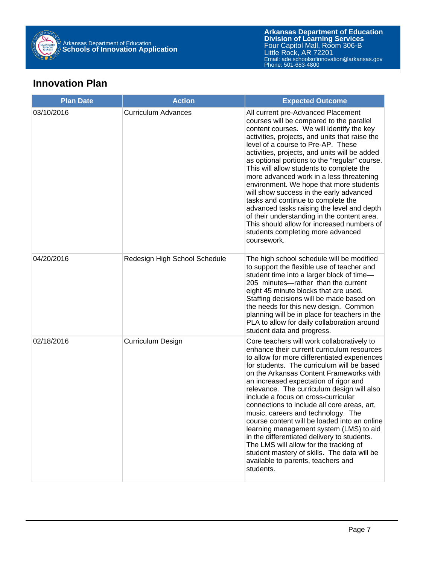

#### **Innovation Plan**

| <b>Plan Date</b> | <b>Action</b>                 | <b>Expected Outcome</b>                                                                                                                                                                                                                                                                                                                                                                                                                                                                                                                                                                                                                                                                                                                    |
|------------------|-------------------------------|--------------------------------------------------------------------------------------------------------------------------------------------------------------------------------------------------------------------------------------------------------------------------------------------------------------------------------------------------------------------------------------------------------------------------------------------------------------------------------------------------------------------------------------------------------------------------------------------------------------------------------------------------------------------------------------------------------------------------------------------|
| 03/10/2016       | <b>Curriculum Advances</b>    | All current pre-Advanced Placement<br>courses will be compared to the parallel<br>content courses. We will identify the key<br>activities, projects, and units that raise the<br>level of a course to Pre-AP. These<br>activities, projects, and units will be added<br>as optional portions to the "regular" course.<br>This will allow students to complete the<br>more advanced work in a less threatening<br>environment. We hope that more students<br>will show success in the early advanced<br>tasks and continue to complete the<br>advanced tasks raising the level and depth<br>of their understanding in the content area.<br>This should allow for increased numbers of<br>students completing more advanced<br>coursework.   |
| 04/20/2016       | Redesign High School Schedule | The high school schedule will be modified<br>to support the flexible use of teacher and<br>student time into a larger block of time-<br>205 minutes-rather than the current<br>eight 45 minute blocks that are used.<br>Staffing decisions will be made based on<br>the needs for this new design. Common<br>planning will be in place for teachers in the<br>PLA to allow for daily collaboration around<br>student data and progress.                                                                                                                                                                                                                                                                                                    |
| 02/18/2016       | Curriculum Design             | Core teachers will work collaboratively to<br>enhance their current curriculum resources<br>to allow for more differentiated experiences<br>for students. The curriculum will be based<br>on the Arkansas Content Frameworks with<br>an increased expectation of rigor and<br>relevance. The curriculum design will also<br>include a focus on cross-curricular<br>connections to include all core areas, art,<br>music, careers and technology. The<br>course content will be loaded into an online<br>learning management system (LMS) to aid<br>in the differentiated delivery to students.<br>The LMS will allow for the tracking of<br>student mastery of skills. The data will be<br>available to parents, teachers and<br>students. |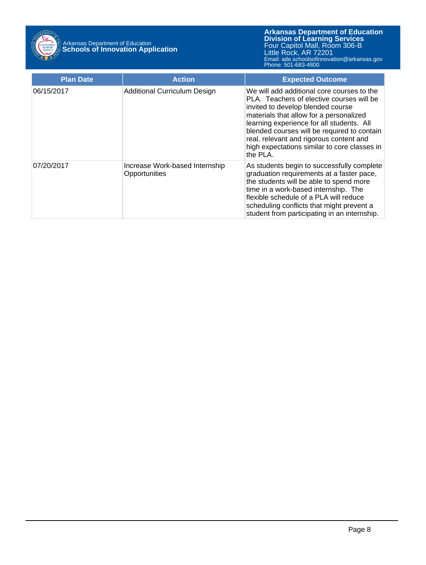

| <b>Plan Date</b> | <b>Action</b>                                   | <b>Expected Outcome</b>                                                                                                                                                                                                                                                                                                                                                    |
|------------------|-------------------------------------------------|----------------------------------------------------------------------------------------------------------------------------------------------------------------------------------------------------------------------------------------------------------------------------------------------------------------------------------------------------------------------------|
| 06/15/2017       | <b>Additional Curriculum Design</b>             | We will add additional core courses to the<br>PLA. Teachers of elective courses will be<br>invited to develop blended course<br>materials that allow for a personalized<br>learning experience for all students. All<br>blended courses will be required to contain<br>real, relevant and rigorous content and<br>high expectations similar to core classes in<br>the PLA. |
| 07/20/2017       | Increase Work-based Internship<br>Opportunities | As students begin to successfully complete<br>graduation requirements at a faster pace,<br>the students will be able to spend more<br>time in a work-based internship. The<br>flexible schedule of a PLA will reduce<br>scheduling conflicts that might prevent a<br>student from participating in an internship.                                                          |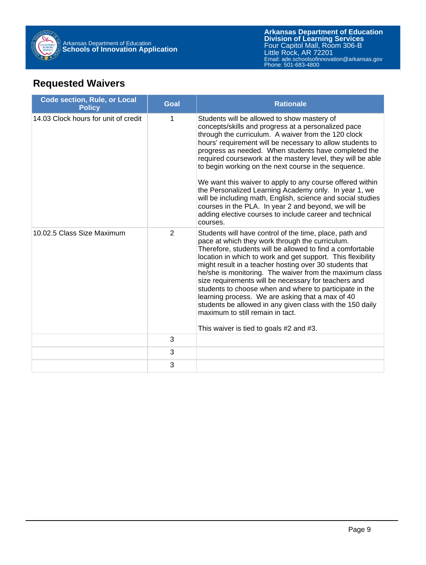

## **Requested Waivers**

| <b>Code section, Rule, or Local</b><br><b>Policy</b> | <b>Goal</b>    | <b>Rationale</b>                                                                                                                                                                                                                                                                                                                                                                                                                                                                                                                                                                                                                                                                                                          |
|------------------------------------------------------|----------------|---------------------------------------------------------------------------------------------------------------------------------------------------------------------------------------------------------------------------------------------------------------------------------------------------------------------------------------------------------------------------------------------------------------------------------------------------------------------------------------------------------------------------------------------------------------------------------------------------------------------------------------------------------------------------------------------------------------------------|
| 14.03 Clock hours for unit of credit                 | 1              | Students will be allowed to show mastery of<br>concepts/skills and progress at a personalized pace<br>through the curriculum. A waiver from the 120 clock<br>hours' requirement will be necessary to allow students to<br>progress as needed. When students have completed the<br>required coursework at the mastery level, they will be able<br>to begin working on the next course in the sequence.<br>We want this waiver to apply to any course offered within<br>the Personalized Learning Academy only. In year 1, we<br>will be including math, English, science and social studies<br>courses in the PLA. In year 2 and beyond, we will be<br>adding elective courses to include career and technical<br>courses. |
| 10.02.5 Class Size Maximum                           | $\overline{2}$ | Students will have control of the time, place, path and<br>pace at which they work through the curriculum.<br>Therefore, students will be allowed to find a comfortable<br>location in which to work and get support. This flexibility<br>might result in a teacher hosting over 30 students that<br>he/she is monitoring. The waiver from the maximum class<br>size requirements will be necessary for teachers and<br>students to choose when and where to participate in the<br>learning process. We are asking that a max of 40<br>students be allowed in any given class with the 150 daily<br>maximum to still remain in tact.<br>This waiver is tied to goals #2 and #3.                                           |
|                                                      | 3              |                                                                                                                                                                                                                                                                                                                                                                                                                                                                                                                                                                                                                                                                                                                           |
|                                                      | 3              |                                                                                                                                                                                                                                                                                                                                                                                                                                                                                                                                                                                                                                                                                                                           |
|                                                      | 3              |                                                                                                                                                                                                                                                                                                                                                                                                                                                                                                                                                                                                                                                                                                                           |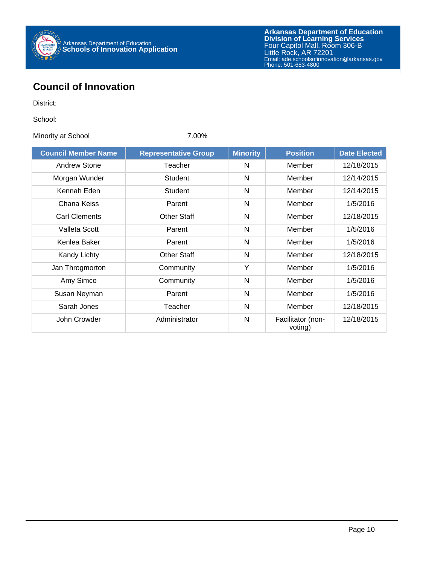

### **Council of Innovation**

District:

School:

Minority at School 7.00%

| <b>Council Member Name</b> | <b>Representative Group</b> | <b>Minority</b> | <b>Position</b>              | <b>Date Elected</b> |
|----------------------------|-----------------------------|-----------------|------------------------------|---------------------|
| Andrew Stone               | Teacher                     | N               | Member                       | 12/18/2015          |
| Morgan Wunder              | Student                     | N               | Member                       | 12/14/2015          |
| Kennah Eden                | Student                     | N               | Member                       | 12/14/2015          |
| Chana Keiss                | Parent                      | N               | Member                       | 1/5/2016            |
| <b>Carl Clements</b>       | <b>Other Staff</b>          | N               | Member                       | 12/18/2015          |
| Valleta Scott              | Parent                      | N               | Member                       | 1/5/2016            |
| Kenlea Baker               | Parent                      | N               | Member                       | 1/5/2016            |
| <b>Kandy Lichty</b>        | <b>Other Staff</b>          | N               | Member                       | 12/18/2015          |
| Jan Throgmorton            | Community                   | Y               | Member                       | 1/5/2016            |
| Amy Simco                  | Community                   | N               | Member                       | 1/5/2016            |
| Susan Neyman               | Parent                      | N               | Member                       | 1/5/2016            |
| Sarah Jones                | Teacher                     | N               | Member                       | 12/18/2015          |
| John Crowder               | Administrator               | N               | Facilitator (non-<br>voting) | 12/18/2015          |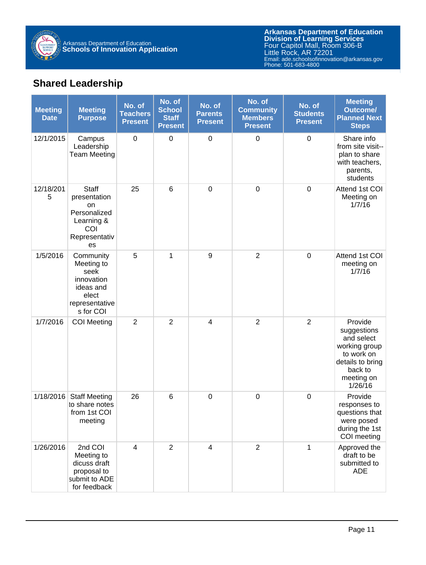

## **Shared Leadership**

| <b>Meeting</b><br><b>Date</b> | <b>Meeting</b><br><b>Purpose</b>                                                                   | No. of<br><b>Teachers</b><br><b>Present</b> | No. of<br><b>School</b><br><b>Staff</b><br><b>Present</b> | No. of<br><b>Parents</b><br><b>Present</b> | No. of<br><b>Community</b><br><b>Members</b><br><b>Present</b> | No. of<br><b>Students</b><br><b>Present</b> | <b>Meeting</b><br><b>Outcome/</b><br><b>Planned Next</b><br><b>Steps</b>                                                    |
|-------------------------------|----------------------------------------------------------------------------------------------------|---------------------------------------------|-----------------------------------------------------------|--------------------------------------------|----------------------------------------------------------------|---------------------------------------------|-----------------------------------------------------------------------------------------------------------------------------|
| 12/1/2015                     | Campus<br>Leadership<br><b>Team Meeting</b>                                                        | $\pmb{0}$                                   | $\boldsymbol{0}$                                          | $\boldsymbol{0}$                           | $\boldsymbol{0}$                                               | $\mathbf 0$                                 | Share info<br>from site visit--<br>plan to share<br>with teachers,<br>parents,<br>students                                  |
| 12/18/201<br>5                | Staff<br>presentation<br>on<br>Personalized<br>Learning &<br>COI<br>Representativ<br>es            | 25                                          | $6\phantom{1}6$                                           | $\boldsymbol{0}$                           | $\boldsymbol{0}$                                               | $\mathbf 0$                                 | Attend 1st COI<br>Meeting on<br>1/7/16                                                                                      |
| 1/5/2016                      | Community<br>Meeting to<br>seek<br>innovation<br>ideas and<br>elect<br>representative<br>s for COI | 5                                           | 1                                                         | 9                                          | $\overline{2}$                                                 | $\mathbf 0$                                 | Attend 1st COI<br>meeting on<br>1/7/16                                                                                      |
| 1/7/2016                      | <b>COI</b> Meeting                                                                                 | $\overline{2}$                              | $\overline{2}$                                            | $\overline{4}$                             | $\overline{2}$                                                 | $\overline{2}$                              | Provide<br>suggestions<br>and select<br>working group<br>to work on<br>details to bring<br>back to<br>meeting on<br>1/26/16 |
| 1/18/2016                     | <b>Staff Meeting</b><br>to share notes<br>from 1st COI<br>meeting                                  | 26                                          | 6                                                         | $\boldsymbol{0}$                           | $\boldsymbol{0}$                                               | $\mathbf 0$                                 | Provide<br>responses to<br>questions that<br>were posed<br>during the 1st<br>COI meeting                                    |
| 1/26/2016                     | 2nd COI<br>Meeting to<br>dicuss draft<br>proposal to<br>submit to ADE<br>for feedback              | $\overline{4}$                              | $\overline{2}$                                            | $\overline{4}$                             | $\overline{2}$                                                 | $\mathbf{1}$                                | Approved the<br>draft to be<br>submitted to<br><b>ADE</b>                                                                   |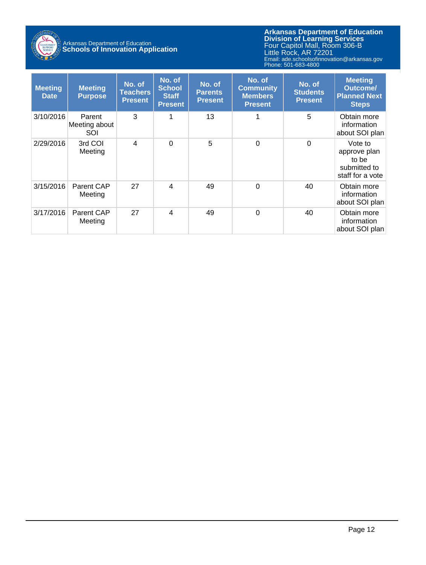

# Arkansas Department of Education **Schools of Innovation Application**

**Arkansas Department of Education** Email: ade.schoolsofinnovation@arkansas.gov **Division of Learning Services** Four Capitol Mall, Room 306-B Little Rock, AR 72201 Phone: 501-683-4800

| <b>Meeting</b><br><b>Date</b> | <b>Meeting</b><br><b>Purpose</b> | No. of<br>Teachers<br><b>Present</b> | No. of<br><b>School</b><br><b>Staff</b><br><b>Present</b> | No. of<br><b>Parents</b><br><b>Present</b> | No. of<br><b>Community</b><br><b>Members</b><br><b>Present</b> | No. of<br><b>Students</b><br><b>Present</b> | <b>Meeting</b><br><b>Outcome/</b><br><b>Planned Next</b><br><b>Steps</b> |
|-------------------------------|----------------------------------|--------------------------------------|-----------------------------------------------------------|--------------------------------------------|----------------------------------------------------------------|---------------------------------------------|--------------------------------------------------------------------------|
| 3/10/2016                     | Parent<br>Meeting about<br>SOI   | 3                                    | 1                                                         | 13                                         | 1                                                              | 5                                           | Obtain more<br>information<br>about SOI plan                             |
| 2/29/2016                     | 3rd COI<br>Meeting               | 4                                    | $\Omega$                                                  | 5                                          | $\Omega$                                                       | $\Omega$                                    | Vote to<br>approve plan<br>to be<br>submitted to<br>staff for a vote     |
| 3/15/2016                     | Parent CAP<br>Meeting            | 27                                   | $\overline{4}$                                            | 49                                         | $\Omega$                                                       | 40                                          | Obtain more<br>information<br>about SOI plan                             |
| 3/17/2016                     | Parent CAP<br>Meeting            | 27                                   | $\overline{4}$                                            | 49                                         | $\Omega$                                                       | 40                                          | Obtain more<br>information<br>about SOI plan                             |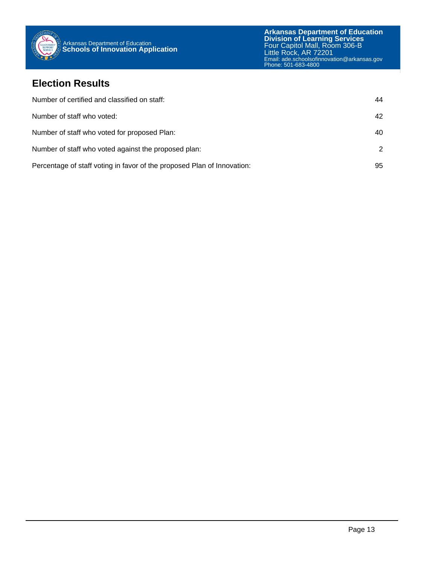

#### **Election Results**

| Number of certified and classified on staff:                            | 44            |
|-------------------------------------------------------------------------|---------------|
| Number of staff who voted:                                              | 42            |
| Number of staff who voted for proposed Plan:                            | 40            |
| Number of staff who voted against the proposed plan:                    | $\mathcal{P}$ |
| Percentage of staff voting in favor of the proposed Plan of Innovation: | 95            |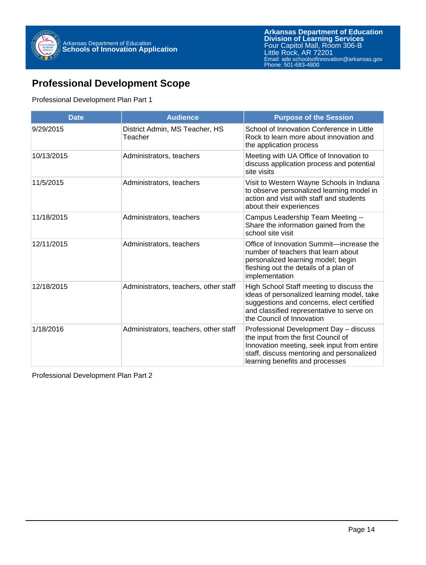

### **Professional Development Scope**

#### Professional Development Plan Part 1

| <b>Date</b> | <b>Audience</b>                           | <b>Purpose of the Session</b>                                                                                                                                                                                 |
|-------------|-------------------------------------------|---------------------------------------------------------------------------------------------------------------------------------------------------------------------------------------------------------------|
| 9/29/2015   | District Admin, MS Teacher, HS<br>Teacher | School of Innovation Conference in Little<br>Rock to learn more about innovation and<br>the application process                                                                                               |
| 10/13/2015  | Administrators, teachers                  | Meeting with UA Office of Innovation to<br>discuss application process and potential<br>site visits                                                                                                           |
| 11/5/2015   | Administrators, teachers                  | Visit to Western Wayne Schools in Indiana<br>to observe personalized learning model in<br>action and visit with staff and students<br>about their experiences                                                 |
| 11/18/2015  | Administrators, teachers                  | Campus Leadership Team Meeting --<br>Share the information gained from the<br>school site visit                                                                                                               |
| 12/11/2015  | Administrators, teachers                  | Office of Innovation Summit-increase the<br>number of teachers that learn about<br>personalized learning model; begin<br>fleshing out the details of a plan of<br>implementation                              |
| 12/18/2015  | Administrators, teachers, other staff     | High School Staff meeting to discuss the<br>ideas of personalized learning model, take<br>suggestions and concerns, elect certified<br>and classified representative to serve on<br>the Council of Innovation |
| 1/18/2016   | Administrators, teachers, other staff     | Professional Development Day - discuss<br>the input from the first Council of<br>Innovation meeting, seek input from entire<br>staff, discuss mentoring and personalized<br>learning benefits and processes   |

Professional Development Plan Part 2